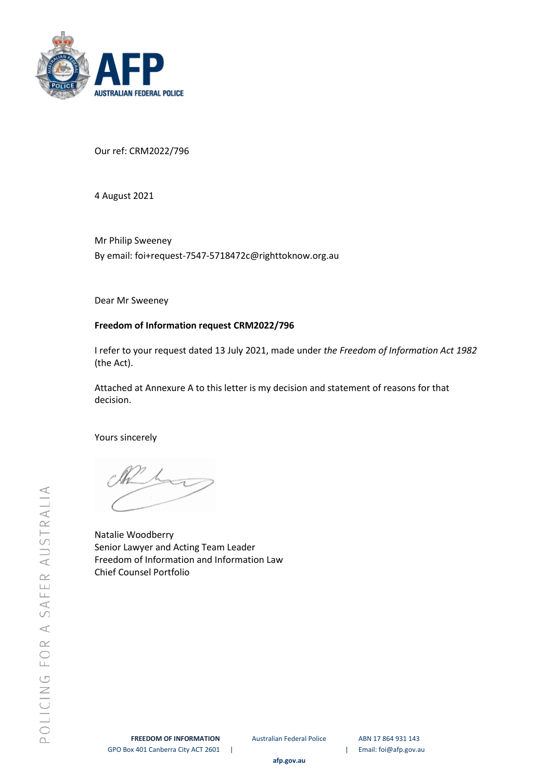

Our ref: CRM2022/796

4 August 2021

Mr Philip Sweeney By email: foi+request-7547-5718472c@righttoknow.org.au

Dear Mr Sweeney

# **Freedom of Information request CRM2022/796**

I refer to your request dated 13 July 2021, made under *the Freedom of Information Act 1982*  (the Act).

Attached at Annexure A to this letter is my decision and statement of reasons for that decision.

Yours sincerely

Natalie Woodberry Senior Lawyer and Acting Team Leader Freedom of Information and Information Law Chief Counsel Portfolio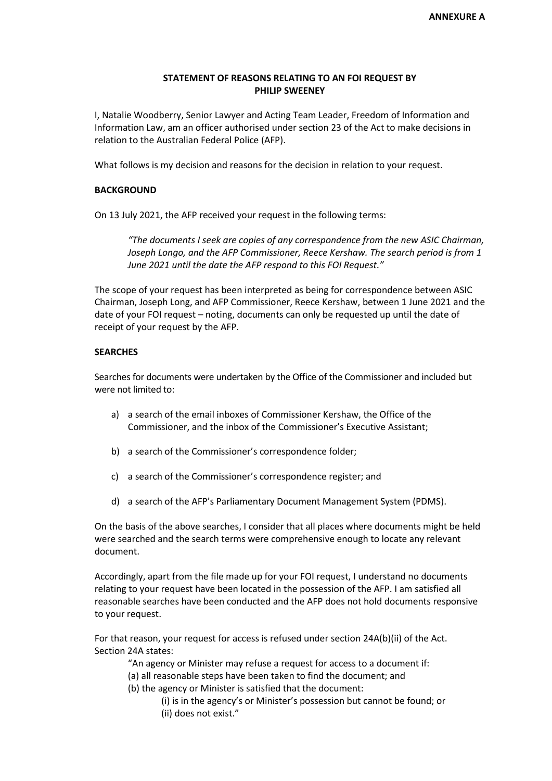### **STATEMENT OF REASONS RELATING TO AN FOI REQUEST BY PHILIP SWEENEY**

I, Natalie Woodberry, Senior Lawyer and Acting Team Leader, Freedom of Information and Information Law, am an officer authorised under section 23 of the Act to make decisions in relation to the Australian Federal Police (AFP).

What follows is my decision and reasons for the decision in relation to your request.

#### **BACKGROUND**

On 13 July 2021, the AFP received your request in the following terms:

*"The documents I seek are copies of any correspondence from the new ASIC Chairman, Joseph Longo, and the AFP Commissioner, Reece Kershaw. The search period is from 1 June 2021 until the date the AFP respond to this FOI Request."*

The scope of your request has been interpreted as being for correspondence between ASIC Chairman, Joseph Long, and AFP Commissioner, Reece Kershaw, between 1 June 2021 and the date of your FOI request – noting, documents can only be requested up until the date of receipt of your request by the AFP.

#### **SEARCHES**

Searches for documents were undertaken by the Office of the Commissioner and included but were not limited to:

- a) a search of the email inboxes of Commissioner Kershaw, the Office of the Commissioner, and the inbox of the Commissioner's Executive Assistant;
- b) a search of the Commissioner's correspondence folder;
- c) a search of the Commissioner's correspondence register; and
- d) a search of the AFP's Parliamentary Document Management System (PDMS).

On the basis of the above searches, I consider that all places where documents might be held were searched and the search terms were comprehensive enough to locate any relevant document.

Accordingly, apart from the file made up for your FOI request, I understand no documents relating to your request have been located in the possession of the AFP. I am satisfied all reasonable searches have been conducted and the AFP does not hold documents responsive to your request.

For that reason, your request for access is refused under section 24A(b)(ii) of the Act. Section 24A states:

"An agency or Minister may refuse a request for access to a document if:

- (a) all reasonable steps have been taken to find the document; and
- (b) the agency or Minister is satisfied that the document:

(i) is in the agency's or Minister's possession but cannot be found; or (ii) does not exist."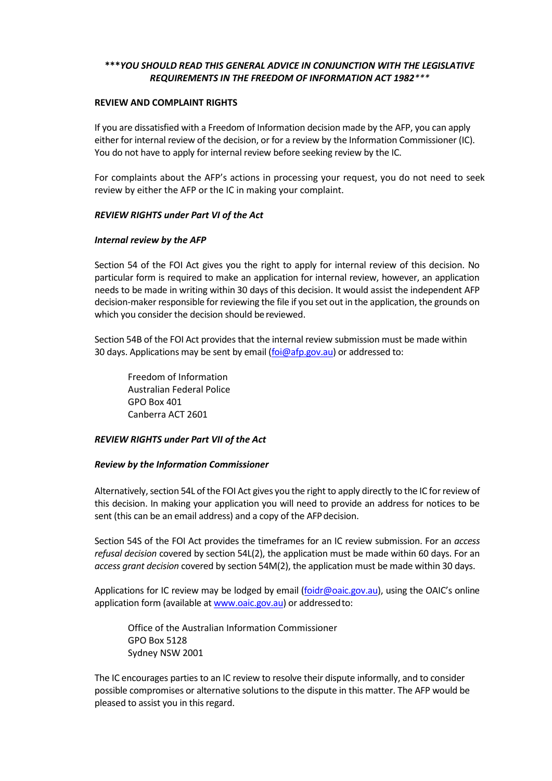## **\*\*\****YOU SHOULD READ THIS GENERAL ADVICE IN CONJUNCTION WITH THE LEGISLATIVE REQUIREMENTS IN THE FREEDOM OF INFORMATION ACT 1982\*\*\**

### **REVIEW AND COMPLAINT RIGHTS**

If you are dissatisfied with a Freedom of Information decision made by the AFP, you can apply either for internal review of the decision, or for a review by the Information Commissioner (IC). You do not have to apply for internal review before seeking review by the IC.

For complaints about the AFP's actions in processing your request, you do not need to seek review by either the AFP or the IC in making your complaint.

### *REVIEW RIGHTS under Part VI of the Act*

### *Internal review by the AFP*

Section 54 of the FOI Act gives you the right to apply for internal review of this decision. No particular form is required to make an application for internal review, however, an application needs to be made in writing within 30 days of this decision. It would assist the independent AFP decision-maker responsible for reviewing the file if you set out in the application, the grounds on which you consider the decision should be reviewed.

Section 54B of the FOI Act provides that the internal review submission must be made within 30 days. Applications may be sent by email [\(foi@afp.gov.au\)](mailto:xxx@xxx.xxx.xx) or addressed to:

Freedom of Information Australian Federal Police GPO Box 401 Canberra ACT 2601

### *REVIEW RIGHTS under Part VII of the Act*

### *Review by the Information Commissioner*

Alternatively, section 54L of the FOI Act gives you the right to apply directly to the IC for review of this decision. In making your application you will need to provide an address for notices to be sent (this can be an email address) and a copy of the AFP decision.

Section 54S of the FOI Act provides the timeframes for an IC review submission. For an *access refusal decision* covered by section 54L(2), the application must be made within 60 days. For an *access grant decision* covered by section 54M(2), the application must be made within 30 days.

Applications for IC review may be lodged by email [\(foidr@oaic.gov.au\)](mailto:xxxxx@xxxx.xxx.xx), using the OAIC's online application form (available a[t www.oaic.gov.au\)](http://www.oaic.gov.au/) or addressedto:

Office of the Australian Information Commissioner GPO Box 5128 Sydney NSW 2001

The IC encourages parties to an IC review to resolve their dispute informally, and to consider possible compromises or alternative solutions to the dispute in this matter. The AFP would be pleased to assist you in this regard.